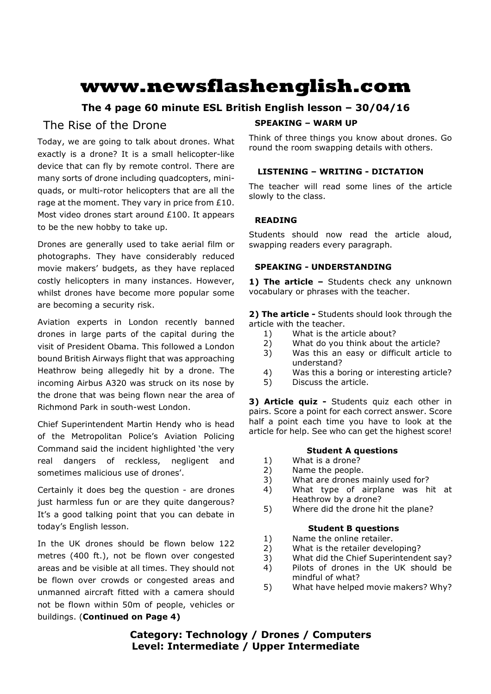# **www.newsflashenglish.com**

# **The 4 page 60 minute ESL British English lesson – 30/04/16**

# The Rise of the Drone

Today, we are going to talk about drones. What exactly is a drone? It is a small helicopter-like device that can fly by remote control. There are many sorts of drone including quadcopters, miniquads, or multi-rotor helicopters that are all the rage at the moment. They vary in price from £10. Most video drones start around £100. It appears to be the new hobby to take up.

Drones are generally used to take aerial film or photographs. They have considerably reduced movie makers' budgets, as they have replaced costly helicopters in many instances. However, whilst drones have become more popular some are becoming a security risk.

Aviation experts in London recently banned drones in large parts of the capital during the visit of President Obama. This followed a London bound British Airways flight that was approaching Heathrow being allegedly hit by a drone. The incoming Airbus A320 was struck on its nose by the drone that was being flown near the area of Richmond Park in south-west London.

Chief Superintendent Martin Hendy who is head of the Metropolitan Police's Aviation Policing Command said the incident highlighted 'the very real dangers of reckless, negligent and sometimes malicious use of drones'.

Certainly it does beg the question - are drones just harmless fun or are they quite dangerous? It's a good talking point that you can debate in today's English lesson.

In the UK drones should be flown below 122 metres (400 ft.), not be flown over congested areas and be visible at all times. They should not be flown over crowds or congested areas and unmanned aircraft fitted with a camera should not be flown within 50m of people, vehicles or buildings. (**Continued on Page 4)**

# **SPEAKING – WARM UP**

Think of three things you know about drones. Go round the room swapping details with others.

# **LISTENING – WRITING - DICTATION**

The teacher will read some lines of the article slowly to the class.

# **READING**

Students should now read the article aloud, swapping readers every paragraph.

### **SPEAKING - UNDERSTANDING**

**1) The article –** Students check any unknown vocabulary or phrases with the teacher.

**2) The article -** Students should look through the article with the teacher.

- 1) What is the article about?
- 2) What do you think about the article?
- 3) Was this an easy or difficult article to understand?
- 4) Was this a boring or interesting article?
- 5) Discuss the article.

**3) Article quiz -** Students quiz each other in pairs. Score a point for each correct answer. Score half a point each time you have to look at the article for help. See who can get the highest score!

#### **Student A questions**

- 1) What is a drone?
- 2) Name the people.
- 3) What are drones mainly used for?
- 4) What type of airplane was hit at Heathrow by a drone?
- 5) Where did the drone hit the plane?

#### **Student B questions**

- 1) Name the online retailer.
- 2) What is the retailer developing?
- 3) What did the Chief Superintendent say? 4) Pilots of drones in the UK should be mindful of what?
- 5) What have helped movie makers? Why?

**Category: Technology / Drones / Computers Level: Intermediate / Upper Intermediate**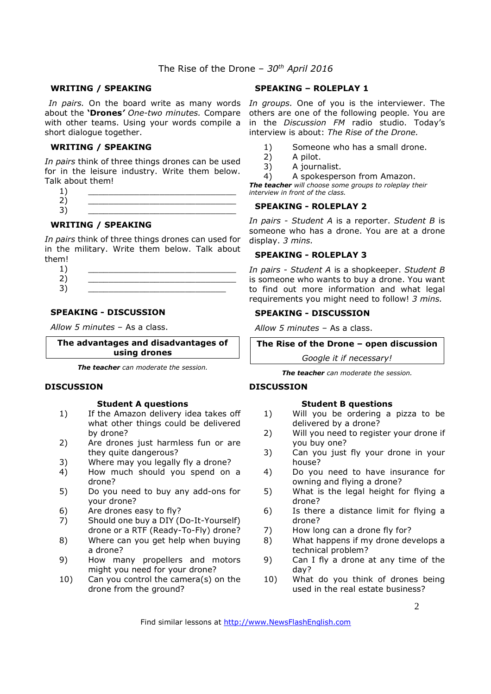#### **WRITING / SPEAKING**

about the **'Drones***' One-two minutes.* Compare with other teams. Using your words compile a short dialogue together.

#### **WRITING / SPEAKING**

*In pairs* think of three things drones can be used for in the leisure industry. Write them below. Talk about them!

 $1)$   $\qquad \qquad$ 2) \_\_\_\_\_\_\_\_\_\_\_\_\_\_\_\_\_\_\_\_\_\_\_\_\_\_\_\_\_ 3) \_\_\_\_\_\_\_\_\_\_\_\_\_\_\_\_\_\_\_\_\_\_\_\_\_\_\_\_\_

#### **WRITING / SPEAKING**

*In pairs* think of three things drones can used for in the military. Write them below. Talk about them!

#### **SPEAKING - DISCUSSION**

*Allow 5 minutes* – As a class.

**The advantages and disadvantages of using drones**

*The teacher can moderate the session.*

#### **DISCUSSION**

#### **Student A questions**

- 1) If the Amazon delivery idea takes off what other things could be delivered by drone?
- 2) Are drones just harmless fun or are they quite dangerous?
- 3) Where may you legally fly a drone?
- 4) How much should you spend on a drone?
- 5) Do you need to buy any add-ons for your drone?
- 6) Are drones easy to fly?
- 7) Should one buy a DIY (Do-It-Yourself) drone or a RTF (Ready-To-Fly) drone?
- 8) Where can you get help when buying a drone?
- 9) How many propellers and motors might you need for your drone?
- 10) Can you control the camera(s) on the drone from the ground?

#### **SPEAKING – ROLEPLAY 1**

In pairs. On the board write as many words In groups. One of you is the interviewer. The others are one of the following people. You are in the *Discussion FM* radio studio. Today's interview is about: *The Rise of the Drone.*

- 1) Someone who has a small drone.
- 2) A pilot.
- 3) A journalist.

4) A spokesperson from Amazon.

*The teacher will choose some groups to roleplay their interview in front of the class.* 

#### **SPEAKING - ROLEPLAY 2**

*In pairs - Student A* is a reporter. *Student B* is someone who has a drone. You are at a drone display. *3 mins.* 

#### **SPEAKING - ROLEPLAY 3**

*In pairs - Student A* is a shopkeeper. *Student B* is someone who wants to buy a drone. You want to find out more information and what legal requirements you might need to follow! *3 mins.* 

#### **SPEAKING - DISCUSSION**

*Allow 5 minutes* – As a class.

**The Rise of the Drone – open discussion** 

*Google it if necessary!*

*The teacher can moderate the session.*

#### **DISCUSSION**

#### **Student B questions**

- 1) Will you be ordering a pizza to be delivered by a drone?
- 2) Will you need to register your drone if you buy one?
- 3) Can you just fly your drone in your house?
- 4) Do you need to have insurance for owning and flying a drone?
- 5) What is the legal height for flying a drone?
- 6) Is there a distance limit for flying a drone?
- 7) How long can a drone fly for?
- 8) What happens if my drone develops a technical problem?
- 9) Can I fly a drone at any time of the day?
- 10) What do you think of drones being used in the real estate business?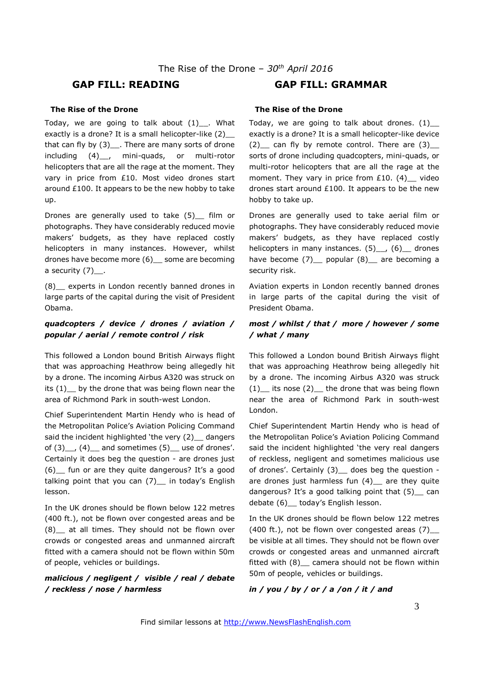# **GAP FILL: READING GAP FILL: GRAMMAR**

#### **The Rise of the Drone**

Today, we are going to talk about (1)\_\_. What exactly is a drone? It is a small helicopter-like (2)\_\_ that can fly by (3)\_\_. There are many sorts of drone including (4)\_\_, mini-quads, or multi-rotor helicopters that are all the rage at the moment. They vary in price from £10. Most video drones start around £100. It appears to be the new hobby to take up.

Drones are generally used to take (5)\_\_ film or photographs. They have considerably reduced movie makers' budgets, as they have replaced costly helicopters in many instances. However, whilst drones have become more (6)\_\_ some are becoming a security  $(7)$ .

(8)\_\_ experts in London recently banned drones in large parts of the capital during the visit of President Obama.

### *quadcopters / device / drones / aviation / popular / aerial / remote control / risk*

This followed a London bound British Airways flight that was approaching Heathrow being allegedly hit by a drone. The incoming Airbus A320 was struck on its  $(1)$  by the drone that was being flown near the area of Richmond Park in south-west London.

Chief Superintendent Martin Hendy who is head of the Metropolitan Police's Aviation Policing Command said the incident highlighted 'the very (2) \_\_ dangers of  $(3)$ <sub>,</sub>  $(4)$ <sup></sup> and sometimes  $(5)$ <sup></sup> use of drones'. Certainly it does beg the question - are drones just (6)\_\_ fun or are they quite dangerous? It's a good talking point that you can  $(7)$  in today's English lesson.

In the UK drones should be flown below 122 metres (400 ft.), not be flown over congested areas and be (8) at all times. They should not be flown over crowds or congested areas and unmanned aircraft fitted with a camera should not be flown within 50m of people, vehicles or buildings.

*malicious / negligent / visible / real / debate / reckless / nose / harmless*

#### **The Rise of the Drone**

Today, we are going to talk about drones. (1)\_\_ exactly is a drone? It is a small helicopter-like device (2) can fly by remote control. There are  $(3)$ sorts of drone including quadcopters, mini-quads, or multi-rotor helicopters that are all the rage at the moment. They vary in price from  $£10. (4)$  video drones start around £100. It appears to be the new hobby to take up.

Drones are generally used to take aerial film or photographs. They have considerably reduced movie makers' budgets, as they have replaced costly helicopters in many instances.  $(5)$ ,  $(6)$  drones have become (7) popular (8) are becoming a security risk.

Aviation experts in London recently banned drones in large parts of the capital during the visit of President Obama.

#### *most / whilst / that / more / however / some / what / many*

This followed a London bound British Airways flight that was approaching Heathrow being allegedly hit by a drone. The incoming Airbus A320 was struck (1)\_\_ its nose (2)\_\_ the drone that was being flown near the area of Richmond Park in south-west London.

Chief Superintendent Martin Hendy who is head of the Metropolitan Police's Aviation Policing Command said the incident highlighted 'the very real dangers of reckless, negligent and sometimes malicious use of drones'. Certainly (3) \_ does beg the question are drones just harmless fun  $(4)$  are they quite dangerous? It's a good talking point that (5)\_\_ can debate (6) today's English lesson.

In the UK drones should be flown below 122 metres  $(400 \text{ ft.})$ , not be flown over congested areas  $(7)$ be visible at all times. They should not be flown over crowds or congested areas and unmanned aircraft fitted with (8) camera should not be flown within 50m of people, vehicles or buildings.

*in / you / by / or / a /on / it / and*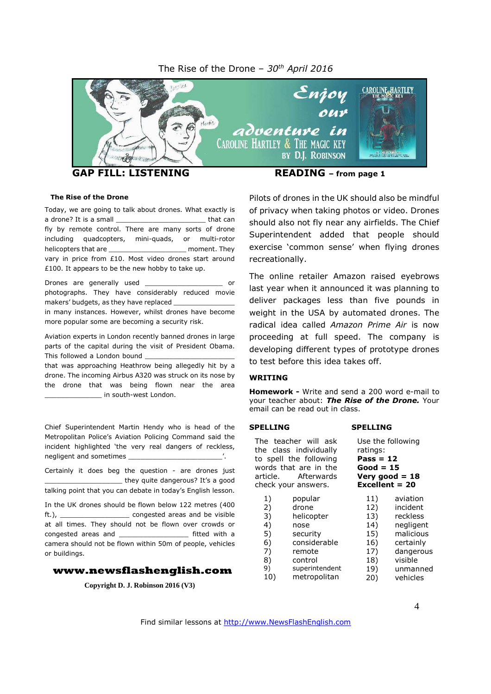#### The Rise of the Drone – *30 th April 2016*



#### **The Rise of the Drone**

Today, we are going to talk about drones. What exactly is a drone? It is a small a set of that can fly by remote control. There are many sorts of drone including quadcopters, mini-quads, or multi-rotor helicopters that are **moment**. They vary in price from £10. Most video drones start around £100. It appears to be the new hobby to take up.

Drones are generally used \_\_\_\_\_\_\_\_\_\_\_\_\_\_\_\_\_\_\_\_\_\_ or photographs. They have considerably reduced movie makers' budgets, as they have replaced

in many instances. However, whilst drones have become more popular some are becoming a security risk.

Aviation experts in London recently banned drones in large parts of the capital during the visit of President Obama. This followed a London bound

that was approaching Heathrow being allegedly hit by a drone. The incoming Airbus A320 was struck on its nose by the drone that was being flown near the area in south-west London.

Chief Superintendent Martin Hendy who is head of the Metropolitan Police's Aviation Policing Command said the incident highlighted 'the very real dangers of reckless, negligent and sometimes \_\_\_\_\_\_\_\_\_\_\_\_\_\_\_\_\_\_\_\_\_\_\_'.

Certainly it does beg the question - are drones just \_\_\_\_\_\_\_\_\_\_\_\_\_\_\_\_\_\_\_ they quite dangerous? It's a good talking point that you can debate in today's English lesson.

In the UK drones should be flown below 122 metres (400 ft.), \_\_\_\_\_\_\_\_\_\_\_\_\_\_\_\_\_ congested areas and be visible at all times. They should not be flown over crowds or congested areas and \_\_\_\_\_\_\_\_\_\_\_\_\_\_\_\_\_ fitted with a camera should not be flown within 50m of people, vehicles or buildings.

#### **www.newsflashenglish.com**

**Copyright D. J. Robinson 2016 (V3)**

Pilots of drones in the UK should also be mindful of privacy when taking photos or video. Drones should also not fly near any airfields. The Chief Superintendent added that people should exercise 'common sense' when flying drones recreationally.

The online retailer Amazon raised eyebrows last year when it announced it was planning to deliver packages less than five pounds in weight in the USA by automated drones. The radical idea called *Amazon Prime Air* is now proceeding at full speed. The company is developing different types of prototype drones to test before this idea takes off.

#### **WRITING**

**Homework -** Write and send a 200 word e-mail to your teacher about: *The Rise of the Drone.* Your email can be read out in class.

**SPELLING**

#### **SPELLING**

| The teacher will ask   |                | Use the following     |           |
|------------------------|----------------|-----------------------|-----------|
| the class individually |                | ratings:              |           |
| to spell the following |                | Pass = $12$           |           |
| words that are in the  |                | $Good = 15$           |           |
| article. Afterwards    |                | Very good $= 18$      |           |
| check your answers.    |                | <b>Excellent = 20</b> |           |
| 1)                     | popular        | 11)                   | aviation  |
| 2)                     | drone          | 12)                   | incident  |
| 3)                     | helicopter     | 13)                   | reckless  |
| 4)                     | nose           | 14)                   | negligent |
| 5)                     | security       | 15)                   | malicious |
| 6)                     | considerable   | 16)                   | certainly |
| 7)                     | remote         | 17)                   | dangerous |
| 8)                     | control        | 18)                   | visible   |
| 9)                     | superintendent | 19)                   | unmanned  |
| 10)                    | metropolitan   | 20)                   | vehicles  |

Find similar lessons at http://www.NewsFlashEnglish.com